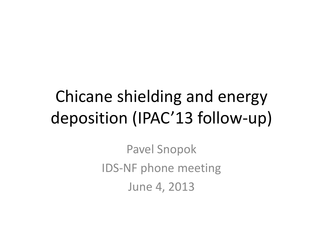# Chicane shielding and energy deposition (IPAC'13 follow‐up)

Pavel Snopok IDS‐NF phone meeting June 4, 2013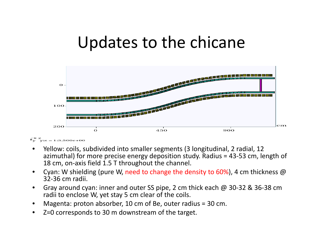### Updates to the chicane



 $\sqrt{\frac{2}{\pi}}$   $\frac{z}{2}$   $= 1:3.500c + 0.0$ 

- $\bullet$  Yellow: coils, subdivided into smaller segments (3 longitudinal, 2 radial, 12 azimuthal) for more precise energy deposition study. Radius <sup>=</sup> 43‐53 cm, length of 18 cm, on‐axis field 1.5 T throughout the channel.
- $\bullet$  Cyan: W shielding (pure W, need to change the density to 60%), 4 cm thickness @ 32‐36 cm radii.
- • Gray around cyan: inner and outer SS pipe, 2 cm thick each @ 30‐32 & 36‐38 cm radii to enclose W, yet stay 5 cm clear of the coils.
- •Magenta: proton absorber, 10 cm of Be, outer radius = 30 cm.
- •Z=0 corresponds to 30 <sup>m</sup> downstream of the target.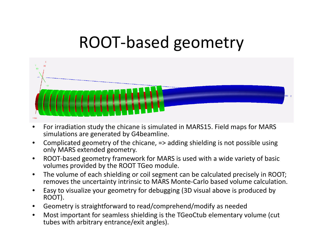## ROOT‐based geometry



- • For irradiation study the chicane is simulated in MARS15. Field maps for MARS simulations are generated by G4beamline.
- $\bullet$ • Complicated geometry of the chicane, => adding shielding is not possible using only MARS extended geometry.
- $\bullet$ ● ROOT-based geometry framework for MARS is used with a wide variety of basic volumes provided by the ROOT TGeo module.
- •• The volume of each shielding or coil segment can be calculated precisely in ROOT; removes the uncertainty intrinsic to MARS Monte‐Carlo based volume calculation.
- $\bullet$  Easy to visualize your geometry for debugging (3D visual above is produced by ROOT).
- $\bullet$ Geometry is straightforward to read/comprehend/modify as needed
- $\bullet$  Most important for seamless shielding is the TGeoCtub elementary volume (cut tubes with arbitrary entrance/exit angles).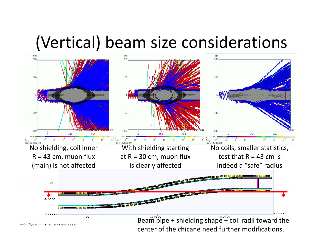### (Vertical) beam size considerations

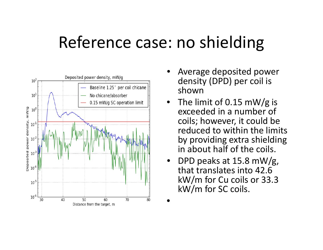# Reference case: no shielding

•



- • Average deposited power density (DPD) per coil is shown
- • The limit of 0.15 mW/g is exceeded in a number of coils; however, it could be reduced to within the limits by providing extra shielding in about half of the coils.
- • DPD peaks at 15.8 mW/g, that translates into 42.6 kW/m for Cu coils or 33.3 kW/m for SC coils.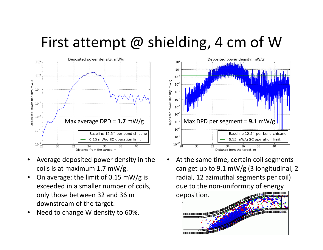#### First attempt @ shielding, 4 cm of W



- • Average deposited power density in the coils is at maximum 1.7 mW/g.
- •• On average: the limit of 0.15 mW/g is exceeded in <sup>a</sup> smaller number of coils, only those between 32 and 36 <sup>m</sup> downstream of the target.
- $\bullet$ • Need to change W density to 60%.



 $\bullet$  At the same time, certain coil segments g.  $\Box$  can get up to 9.1 mW/g (3 longitudinal, 2 radial, 12 azimuthal segments per coil) due to the non‐uniformity of energy deposition.